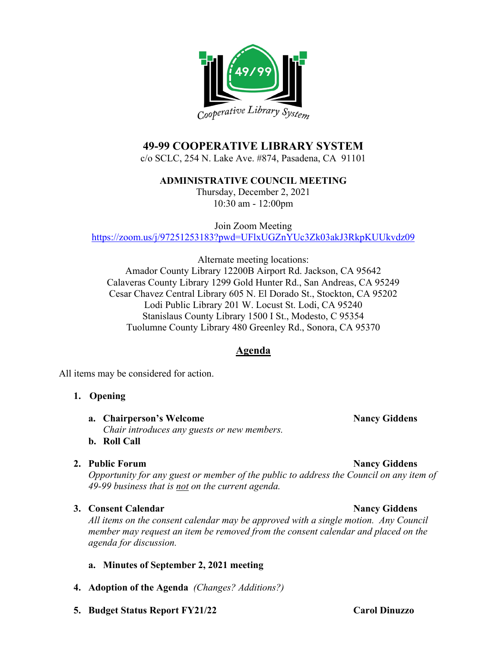

# **49-99 COOPERATIVE LIBRARY SYSTEM**

c/o SCLC, 254 N. Lake Ave. #874, Pasadena, CA 91101

**ADMINISTRATIVE COUNCIL MEETING**

Thursday, December 2, 2021 10:30 am - 12:00pm

Join Zoom Meeting <https://zoom.us/j/97251253183?pwd=UFlxUGZnYUc3Zk03akJ3RkpKUUkvdz09>

Alternate meeting locations: Amador County Library 12200B Airport Rd. Jackson, CA 95642 Calaveras County Library 1299 Gold Hunter Rd., San Andreas, CA 95249 Cesar Chavez Central Library 605 N. El Dorado St., Stockton, CA 95202 Lodi Public Library 201 W. Locust St. Lodi, CA 95240 Stanislaus County Library 1500 I St., Modesto, C 95354 Tuolumne County Library 480 Greenley Rd., Sonora, CA 95370

## **Agenda**

All items may be considered for action.

### **1. Opening**

- **a. Chairperson's Welcome Nancy Giddens Nancy Giddens** *Chair introduces any guests or new members.*
- **b. Roll Call**

#### **2. Public Forum Nancy Giddens**

*Opportunity for any guest or member of the public to address the Council on any item of 49-99 business that is not on the current agenda.*

### **3. Consent Calendar Nancy Giddens**

*All items on the consent calendar may be approved with a single motion. Any Council member may request an item be removed from the consent calendar and placed on the agenda for discussion.*

#### **a. Minutes of September 2, 2021 meeting**

- **4. Adoption of the Agenda** *(Changes? Additions?)*
- **5. Budget Status Report FY21/22 Carol Dinuzzo**